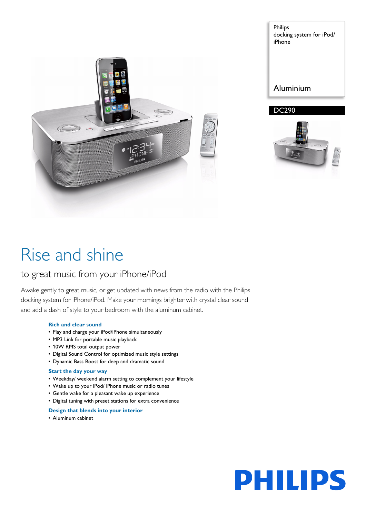

Philips docking system for iPod/ iPhone

# Aluminium





# Rise and shine

# to great music from your iPhone/iPod

Awake gently to great music, or get updated with news from the radio with the Philips docking system for iPhone/iPod. Make your mornings brighter with crystal clear sound and add a dash of style to your bedroom with the aluminum cabinet.

### **Rich and clear sound**

- Play and charge your iPod/iPhone simultaneously
- MP3 Link for portable music playback
- 10W RMS total output power
- Digital Sound Control for optimized music style settings
- Dynamic Bass Boost for deep and dramatic sound

### **Start the day your way**

- Weekday/ weekend alarm setting to complement your lifestyle
- Wake up to your iPod/ iPhone music or radio tunes
- Gentle wake for a pleasant wake up experience
- Digital tuning with preset stations for extra convenience

### **Design that blends into your interior**

• Aluminum cabinet

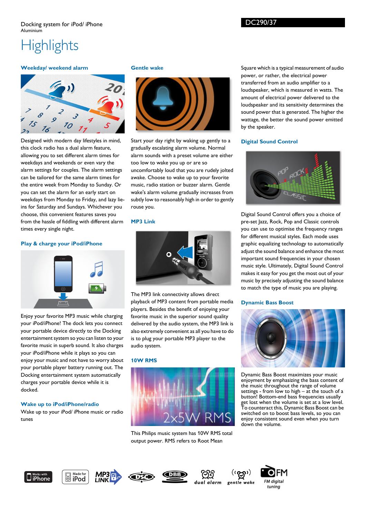# **Highlights**

# **Weekday/ weekend alarm**



Designed with modern day lifestyles in mind, this clock radio has a dual alarm feature, allowing you to set different alarm times for weekdays and weekends or even vary the alarm settings for couples. The alarm settings can be tailored for the same alarm times for the entire week from Monday to Sunday. Or you can set the alarm for an early start on weekdays from Monday to Friday, and lazy lieins for Saturday and Sundays. Whichever you choose, this convenient features saves you from the hassle of fiddling with different alarm times every single night.

## **Play & charge your iPod/iPhone**



Enjoy your favorite MP3 music while charging your iPod/iPhone! The dock lets you connect your portable device directly to the Docking entertainment system so you can listen to your favorite music in superb sound. It also charges your iPod/iPhone while it plays so you can enjoy your music and not have to worry about your portable player battery running out. The Docking entertainment system automatically charges your portable device while it is docked.

# **Wake up to iPod/iPhone/radio**

Wake up to your iPod/ iPhone music or radio tunes

#### **Gentle wake**



Start your day right by waking up gently to a gradually escalating alarm volume. Normal alarm sounds with a preset volume are either too low to wake you up or are so uncomfortably loud that you are rudely jolted awake. Choose to wake up to your favorite music, radio station or buzzer alarm. Gentle wake's alarm volume gradually increases from subtly low to reasonably high in order to gently rouse you.

#### **MP3 Link**



The MP3 link connectivity allows direct playback of MP3 content from portable media players. Besides the benefit of enjoying your favorite music in the superior sound quality delivered by the audio system, the MP3 link is also extremely convenient as all you have to do is to plug your portable MP3 player to the audio system.

#### **10W RMS**



This Philips music system has 10W RMS total output power. RMS refers to Root Mean

Square which is a typical measurement of audio power, or rather, the electrical power transferred from an audio amplifier to a loudspeaker, which is measured in watts. The amount of electrical power delivered to the loudspeaker and its sensitivity determines the sound power that is generated. The higher the wattage, the better the sound power emitted by the speaker.

#### **Digital Sound Control**



Digital Sound Control offers you a choice of pre-set Jazz, Rock, Pop and Classic controls you can use to optimise the frequency ranges for different musical styles. Each mode uses graphic equalizing technology to automatically adjust the sound balance and enhance the most important sound frequencies in your chosen music style. Ultimately, Digital Sound Control makes it easy for you get the most out of your music by precisely adjusting the sound balance to match the type of music you are playing.

#### **Dynamic Bass Boost**



Dynamic Bass Boost maximizes your music enjoyment by emphasizing the bass content of the music throughout the range of volume settings - from low to high – at the touch of a button! Bottom-end bass frequencies usually get lost when the volume is set at a low level. To counteract this, Dynamic Bass Boost can be switched on to boost bass levels, so you can enjoy consistent sound even when you turn down the volume.